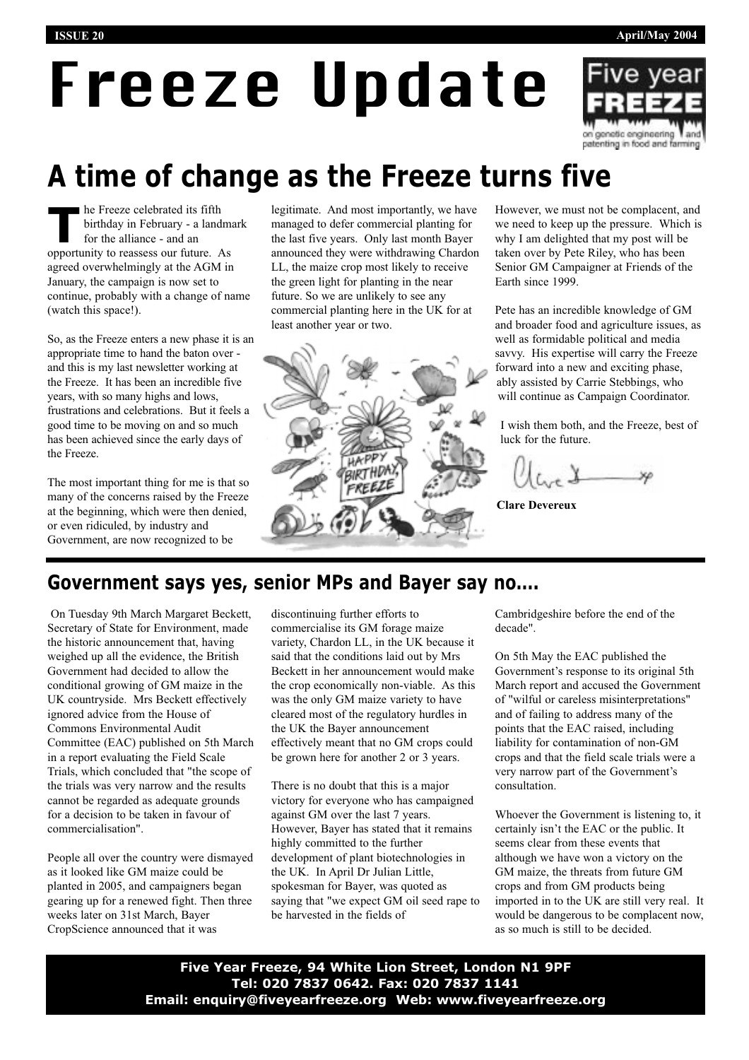# Freeze Update



# **A time of change as the Freeze turns five**

**The Freeze celebrated its fifth**<br>birthday in February - a land<br>for the alliance - and an birthday in February - a landmark for the alliance - and an opportunity to reassess our future. As agreed overwhelmingly at the AGM in January, the campaign is now set to continue, probably with a change of name (watch this space!).

So, as the Freeze enters a new phase it is an appropriate time to hand the baton over and this is my last newsletter working at the Freeze. It has been an incredible five years, with so many highs and lows, frustrations and celebrations. But it feels a good time to be moving on and so much has been achieved since the early days of the Freeze.

The most important thing for me is that so many of the concerns raised by the Freeze at the beginning, which were then denied, or even ridiculed, by industry and Government, are now recognized to be

legitimate. And most importantly, we have managed to defer commercial planting for the last five years. Only last month Bayer announced they were withdrawing Chardon LL, the maize crop most likely to receive the green light for planting in the near future. So we are unlikely to see any commercial planting here in the UK for at least another year or two.



However, we must not be complacent, and we need to keep up the pressure. Which is why I am delighted that my post will be taken over by Pete Riley, who has been Senior GM Campaigner at Friends of the Earth since 1999.

Pete has an incredible knowledge of GM and broader food and agriculture issues, as well as formidable political and media savvy. His expertise will carry the Freeze forward into a new and exciting phase, ably assisted by Carrie Stebbings, who will continue as Campaign Coordinator.

I wish them both, and the Freeze, best of luck for the future.

**Clare Devereux**

#### **Government says yes, senior MPs and Bayer say no….**

On Tuesday 9th March Margaret Beckett, Secretary of State for Environment, made the historic announcement that, having weighed up all the evidence, the British Government had decided to allow the conditional growing of GM maize in the UK countryside. Mrs Beckett effectively ignored advice from the House of Commons Environmental Audit Committee (EAC) published on 5th March in a report evaluating the Field Scale Trials, which concluded that "the scope of the trials was very narrow and the results cannot be regarded as adequate grounds for a decision to be taken in favour of commercialisation".

People all over the country were dismayed as it looked like GM maize could be planted in 2005, and campaigners began gearing up for a renewed fight. Then three weeks later on 31st March, Bayer CropScience announced that it was

discontinuing further efforts to commercialise its GM forage maize variety, Chardon LL, in the UK because it said that the conditions laid out by Mrs Beckett in her announcement would make the crop economically non-viable. As this was the only GM maize variety to have cleared most of the regulatory hurdles in the UK the Bayer announcement effectively meant that no GM crops could be grown here for another 2 or 3 years.

There is no doubt that this is a major victory for everyone who has campaigned against GM over the last 7 years. However, Bayer has stated that it remains highly committed to the further development of plant biotechnologies in the UK. In April Dr Julian Little, spokesman for Bayer, was quoted as saying that "we expect GM oil seed rape to be harvested in the fields of

Cambridgeshire before the end of the decade".

On 5th May the EAC published the Government's response to its original 5th March report and accused the Government of "wilful or careless misinterpretations" and of failing to address many of the points that the EAC raised, including liability for contamination of non-GM crops and that the field scale trials were a very narrow part of the Government's consultation.

Whoever the Government is listening to, it certainly isn't the EAC or the public. It seems clear from these events that although we have won a victory on the GM maize, the threats from future GM crops and from GM products being imported in to the UK are still very real. It would be dangerous to be complacent now, as so much is still to be decided.

**Five Year Freeze, 94 White Lion Street, London N1 9PF Tel: 020 7837 0642. Fax: 020 7837 1141 Email: enquiry@fiveyearfreeze.org Web: www.fiveyearfreeze.org**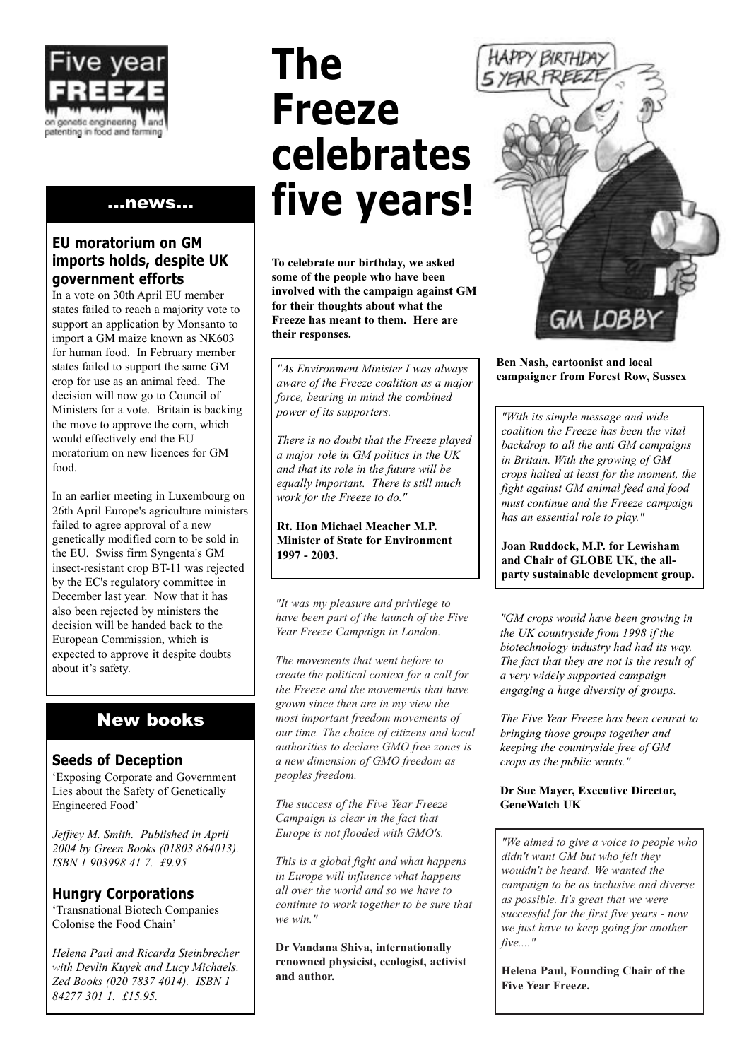

#### ...news...

#### **EU moratorium on GM imports holds, despite UK government efforts**

In a vote on 30th April EU member states failed to reach a majority vote to support an application by Monsanto to import a GM maize known as NK603 for human food. In February member states failed to support the same GM crop for use as an animal feed. The decision will now go to Council of Ministers for a vote. Britain is backing the move to approve the corn, which would effectively end the EU moratorium on new licences for GM food.

In an earlier meeting in Luxembourg on 26th April Europe's agriculture ministers failed to agree approval of a new genetically modified corn to be sold in the EU. Swiss firm Syngenta's GM insect-resistant crop BT-11 was rejected by the EC's regulatory committee in December last year. Now that it has also been rejected by ministers the decision will be handed back to the European Commission, which is expected to approve it despite doubts about it's safety.

#### New books

#### **Seeds of Deception**

'Exposing Corporate and Government Lies about the Safety of Genetically Engineered Food'

*Jeffrey M. Smith. Published in April 2004 by Green Books (01803 864013). ISBN 1 903998 41 7. £9.95*

#### **Hungry Corporations**

'Transnational Biotech Companies Colonise the Food Chain'

*Helena Paul and Ricarda Steinbrecher with Devlin Kuyek and Lucy Michaels. Zed Books (020 7837 4014). ISBN 1 84277 301 1. £15.95.*

# **The Freeze celebrates five years!**

**To celebrate our birthday, we asked some of the people who have been involved with the campaign against GM for their thoughts about what the Freeze has meant to them. Here are their responses.**

**campaigner from Forest Row, Sussex** *"As Environment Minister I was always aware of the Freeze coalition as a major force, bearing in mind the combined power of its supporters.* 

*There is no doubt that the Freeze played a major role in GM politics in the UK and that its role in the future will be equally important. There is still much work for the Freeze to do."*

**Rt. Hon Michael Meacher M.P. Minister of State for Environment 1997 - 2003.**

*"It was my pleasure and privilege to have been part of the launch of the Five Year Freeze Campaign in London.* 

*The movements that went before to create the political context for a call for the Freeze and the movements that have grown since then are in my view the most important freedom movements of our time. The choice of citizens and local authorities to declare GMO free zones is a new dimension of GMO freedom as peoples freedom.* 

*The success of the Five Year Freeze Campaign is clear in the fact that Europe is not flooded with GMO's.* 

*This is a global fight and what happens in Europe will influence what happens all over the world and so we have to continue to work together to be sure that we win."*

**Dr Vandana Shiva, internationally renowned physicist, ecologist, activist and author.**



**Ben Nash, cartoonist and local**

*"With its simple message and wide coalition the Freeze has been the vital backdrop to all the anti GM campaigns in Britain. With the growing of GM crops halted at least for the moment, the fight against GM animal feed and food must continue and the Freeze campaign has an essential role to play."*

**Joan Ruddock, M.P. for Lewisham and Chair of GLOBE UK, the allparty sustainable development group.**

*"GM crops would have been growing in the UK countryside from 1998 if the biotechnology industry had had its way. The fact that they are not is the result of a very widely supported campaign engaging a huge diversity of groups.* 

*The Five Year Freeze has been central to bringing those groups together and keeping the countryside free of GM crops as the public wants."*

#### **Dr Sue Mayer, Executive Director, GeneWatch UK**

*"We aimed to give a voice to people who didn't want GM but who felt they wouldn't be heard. We wanted the campaign to be as inclusive and diverse as possible. It's great that we were successful for the first five years - now we just have to keep going for another five...."*

**Helena Paul, Founding Chair of the Five Year Freeze.**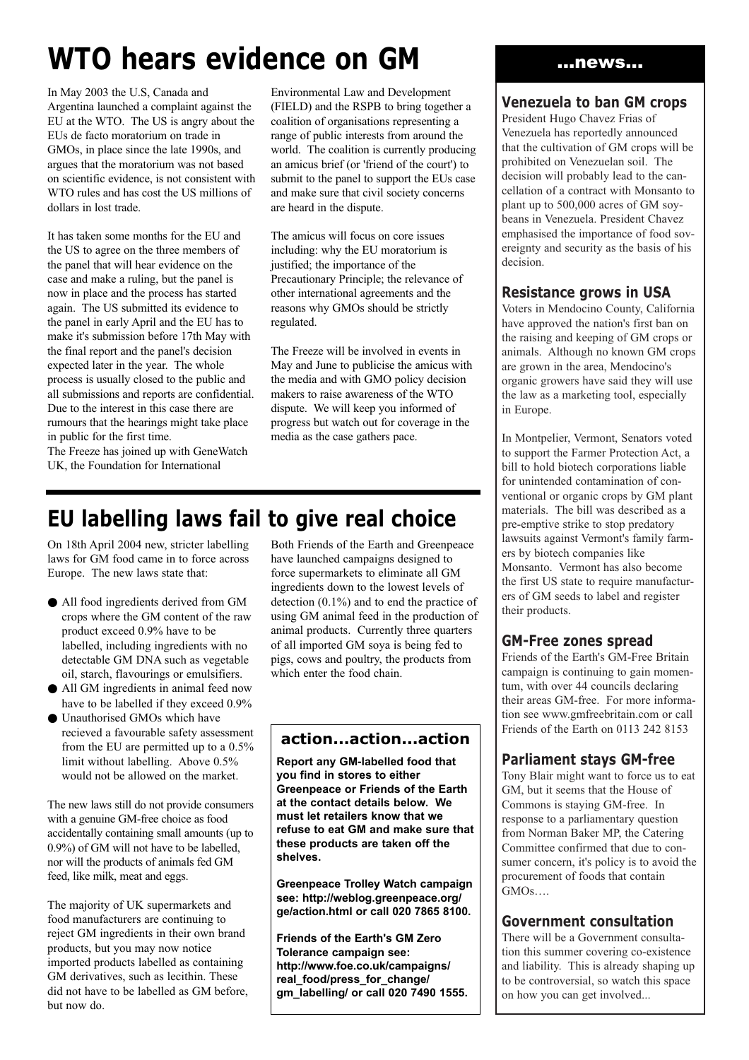# **WTO hears evidence on GM**

In May 2003 the U.S, Canada and Argentina launched a complaint against the EU at the WTO. The US is angry about the EUs de facto moratorium on trade in GMOs, in place since the late 1990s, and argues that the moratorium was not based on scientific evidence, is not consistent with WTO rules and has cost the US millions of dollars in lost trade.

It has taken some months for the EU and the US to agree on the three members of the panel that will hear evidence on the case and make a ruling, but the panel is now in place and the process has started again. The US submitted its evidence to the panel in early April and the EU has to make it's submission before 17th May with the final report and the panel's decision expected later in the year. The whole process is usually closed to the public and all submissions and reports are confidential. Due to the interest in this case there are rumours that the hearings might take place in public for the first time.

The Freeze has joined up with GeneWatch UK, the Foundation for International

Environmental Law and Development (FIELD) and the RSPB to bring together a coalition of organisations representing a range of public interests from around the world. The coalition is currently producing an amicus brief (or 'friend of the court') to submit to the panel to support the EUs case and make sure that civil society concerns are heard in the dispute.

The amicus will focus on core issues including: why the EU moratorium is justified; the importance of the Precautionary Principle; the relevance of other international agreements and the reasons why GMOs should be strictly regulated.

The Freeze will be involved in events in May and June to publicise the amicus with the media and with GMO policy decision makers to raise awareness of the WTO dispute. We will keep you informed of progress but watch out for coverage in the media as the case gathers pace.

### **EU labelling laws fail to give real choice**

On 18th April 2004 new, stricter labelling laws for GM food came in to force across Europe. The new laws state that:

- All food ingredients derived from GM crops where the GM content of the raw product exceed 0.9% have to be labelled, including ingredients with no detectable GM DNA such as vegetable oil, starch, flavourings or emulsifiers.
- All GM ingredients in animal feed now have to be labelled if they exceed 0.9%
- Unauthorised GMOs which have recieved a favourable safety assessment from the EU are permitted up to a 0.5% limit without labelling. Above 0.5% would not be allowed on the market.

The new laws still do not provide consumers with a genuine GM-free choice as food accidentally containing small amounts (up to 0.9%) of GM will not have to be labelled, nor will the products of animals fed GM feed, like milk, meat and eggs.

The majority of UK supermarkets and food manufacturers are continuing to reject GM ingredients in their own brand products, but you may now notice imported products labelled as containing GM derivatives, such as lecithin. These did not have to be labelled as GM before, but now do.

Both Friends of the Earth and Greenpeace have launched campaigns designed to force supermarkets to eliminate all GM ingredients down to the lowest levels of detection (0.1%) and to end the practice of using GM animal feed in the production of animal products. Currently three quarters of all imported GM soya is being fed to pigs, cows and poultry, the products from which enter the food chain.

#### **action...action...action**

**Report any GM-labelled food that you find in stores to either Greenpeace or Friends of the Earth at the contact details below. We must let retailers know that we refuse to eat GM and make sure that these products are taken off the shelves.**

**Greenpeace Trolley Watch campaign see: http://weblog.greenpeace.org/ ge/action.html or call 020 7865 8100.**

**Friends of the Earth's GM Zero Tolerance campaign see: http://www.foe.co.uk/campaigns/ real\_food/press\_for\_change/ gm\_labelling/ or call 020 7490 1555.**

#### ...news...

#### **Venezuela to ban GM crops**

President Hugo Chavez Frias of Venezuela has reportedly announced that the cultivation of GM crops will be prohibited on Venezuelan soil. The decision will probably lead to the cancellation of a contract with Monsanto to plant up to 500,000 acres of GM soybeans in Venezuela. President Chavez emphasised the importance of food sovereignty and security as the basis of his decision.

#### **Resistance grows in USA**

Voters in Mendocino County, California have approved the nation's first ban on the raising and keeping of GM crops or animals. Although no known GM crops are grown in the area, Mendocino's organic growers have said they will use the law as a marketing tool, especially in Europe.

In Montpelier, Vermont, Senators voted to support the Farmer Protection Act, a bill to hold biotech corporations liable for unintended contamination of conventional or organic crops by GM plant materials. The bill was described as a pre-emptive strike to stop predatory lawsuits against Vermont's family farmers by biotech companies like Monsanto. Vermont has also become the first US state to require manufacturers of GM seeds to label and register their products.

#### **GM-Free zones spread**

Friends of the Earth's GM-Free Britain campaign is continuing to gain momentum, with over 44 councils declaring their areas GM-free. For more information see www.gmfreebritain.com or call Friends of the Earth on 0113 242 8153

#### **Parliament stays GM-free**

Tony Blair might want to force us to eat GM, but it seems that the House of Commons is staying GM-free. In response to a parliamentary question from Norman Baker MP, the Catering Committee confirmed that due to consumer concern, it's policy is to avoid the procurement of foods that contain GMOs….

#### **Government consultation**

There will be a Government consultation this summer covering co-existence and liability. This is already shaping up to be controversial, so watch this space on how you can get involved...